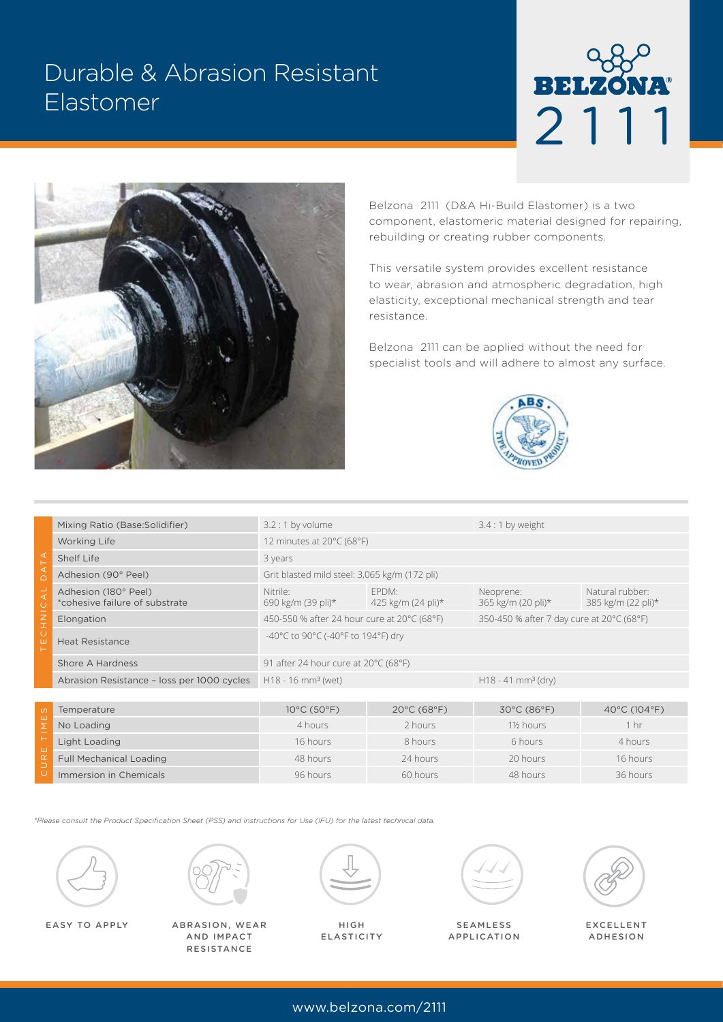# Durable & Abrasion Resistant Elastomer





Belzona 2111 (D&A Hi-Build Elastomer) is a two component, elastomeric material designed for repairing, rebuilding or creating rubber components.

This versatile system provides excellent resistance to wear, abrasion and atmospheric degradation, high elasticity, exceptional mechanical strength and tear resistance.

Belzona 2111 can be applied without the need for specialist tools and will adhere to almost any surface.



| ◁<br>◁<br>$\cap$                   | Mixing Ratio (Base: Solidifier)                        | $3.2:1$ by volume                                                                        |                             | $3.4:1$ by weight                |                                       |
|------------------------------------|--------------------------------------------------------|------------------------------------------------------------------------------------------|-----------------------------|----------------------------------|---------------------------------------|
|                                    | <b>Working Life</b>                                    | 12 minutes at 20°C (68°F)                                                                |                             |                                  |                                       |
|                                    | Shelf Life                                             | 3 years                                                                                  |                             |                                  |                                       |
|                                    | Adhesion (90° Peel)                                    | Grit blasted mild steel: 3,065 kg/m (172 pli)                                            |                             |                                  |                                       |
| ◀                                  | Adhesion (180° Peel)<br>*cohesive failure of substrate | Nitrile:<br>690 kg/m (39 pli)*                                                           | EPDM:<br>425 kg/m (24 pli)* | Neoprene:<br>365 kg/m (20 pli)*  | Natural rubber:<br>385 kg/m (22 pli)* |
| $rac{Z}{T}$                        | Elongation                                             | 450-550 % after 24 hour cure at 20°C (68°F)<br>350-450 % after 7 day cure at 20°C (68°F) |                             |                                  |                                       |
| $\circ$<br>ш                       | <b>Heat Resistance</b>                                 | -40°C to 90°C (-40°F to 194°F) dry                                                       |                             |                                  |                                       |
|                                    | Shore A Hardness                                       | 91 after 24 hour cure at 20°C (68°F)                                                     |                             |                                  |                                       |
|                                    | Abrasion Resistance - loss per 1000 cycles             | $H18 - 16$ mm <sup>3</sup> (wet)                                                         |                             | $H18 - 41$ mm <sup>3</sup> (dry) |                                       |
|                                    |                                                        |                                                                                          |                             |                                  |                                       |
| $\circ$<br>ш<br>Σ<br>ш<br>$\alpha$ | Temperature                                            | 10°C (50°F)                                                                              | 20°C (68°F)                 | 30°C (86°F)                      | 40°C (104°F)                          |
|                                    | No Loading                                             | 4 hours                                                                                  | 2 hours                     | 1½ hours                         | 1 <sub>hr</sub>                       |
|                                    | Light Loading                                          | 16 hours                                                                                 | 8 hours                     | 6 hours                          | 4 hours                               |
|                                    | <b>Full Mechanical Loading</b>                         | 48 hours                                                                                 | 24 hours                    | 20 hours                         | 16 hours                              |
|                                    | Immorsion in Chamicals                                 | $06$ houre                                                                               | $60$ houre                  | $18$ houre                       | $26$ houre                            |

*\*Please consult the Product Specification Sheet (PSS) and Instructions for Use (IFU) for the latest technical data.*





EASY TO APPLY EXCELLENT ABRASION, WEAR AND IMPACT **RESISTANCE** 



Full Mechanical Loading **18 hours 18 hours 16 hours 16 hours 16 hours** 24 hours 16 hours 16 hours 16 hours Immersion in Chemicals **196 hours** 96 hours 60 hours 48 hours 48 hours 36 hours

HIGH ELASTICITY



SEAMLESS APPLICATION



ADHESION